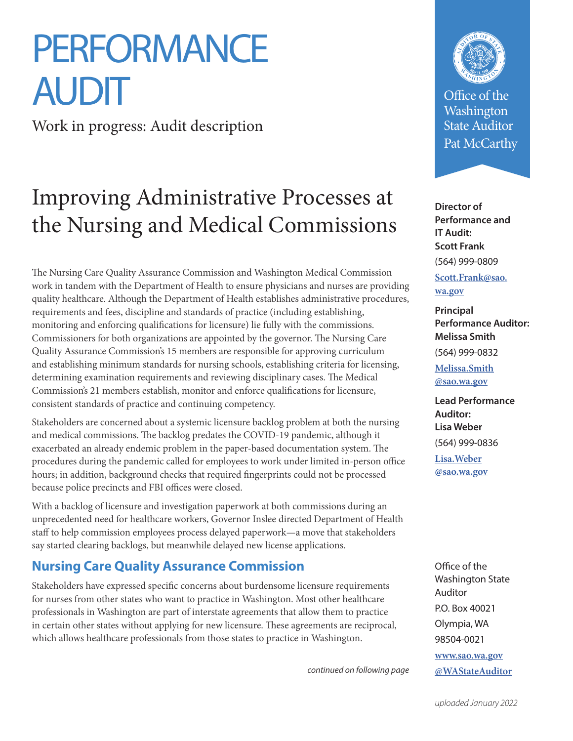# **PERFORMANCE AUDIT**

Work in progress: Audit description

## Improving Administrative Processes at the Nursing and Medical Commissions

The Nursing Care Quality Assurance Commission and Washington Medical Commission work in tandem with the Department of Health to ensure physicians and nurses are providing quality healthcare. Although the Department of Health establishes administrative procedures, requirements and fees, discipline and standards of practice (including establishing, monitoring and enforcing qualifications for licensure) lie fully with the commissions. Commissioners for both organizations are appointed by the governor. The Nursing Care Quality Assurance Commission's 15 members are responsible for approving curriculum and establishing minimum standards for nursing schools, establishing criteria for licensing, determining examination requirements and reviewing disciplinary cases. The Medical Commission's 21 members establish, monitor and enforce qualifications for licensure, consistent standards of practice and continuing competency.

Stakeholders are concerned about a systemic licensure backlog problem at both the nursing and medical commissions. The backlog predates the COVID-19 pandemic, although it exacerbated an already endemic problem in the paper-based documentation system. The procedures during the pandemic called for employees to work under limited in-person office hours; in addition, background checks that required fingerprints could not be processed because police precincts and FBI offices were closed.

With a backlog of licensure and investigation paperwork at both commissions during an unprecedented need for healthcare workers, Governor Inslee directed Department of Health staff to help commission employees process delayed paperwork—a move that stakeholders say started clearing backlogs, but meanwhile delayed new license applications.

### **Nursing Care Quality Assurance Commission**

Stakeholders have expressed specific concerns about burdensome licensure requirements for nurses from other states who want to practice in Washington. Most other healthcare professionals in Washington are part of interstate agreements that allow them to practice in certain other states without applying for new licensure. These agreements are reciprocal, which allows healthcare professionals from those states to practice in Washington.

*continued on following page*



Office of the Washington State Auditor Pat McCarthy

**Director of Performance and IT Audit: Scott Frank** (564) 999-0809

**[Scott.Frank@sao.](mailto:Scott.Frank@sao.wa.gov) wa.gov**

**Principal Performance Auditor: Melissa Smith** (564) 999-0832

**[Melissa.Smith](mailto:Melissa.Smith@sao.wa.gov) @sao.wa.gov**

**Lead Performance Auditor: Lisa Weber** (564) 999-0836 **Lisa.Weber**

**[@sao.wa.gov](mailto:Lisa.Weber@sao.wa.gov)**

Office of the Washington State Auditor P.O. Box 40021 Olympia, WA 98504-0021 **[www.sao.wa.gov](https://sao.wa.gov/) [@WAStateAuditor](https://twitter.com/WaStateAuditor)**